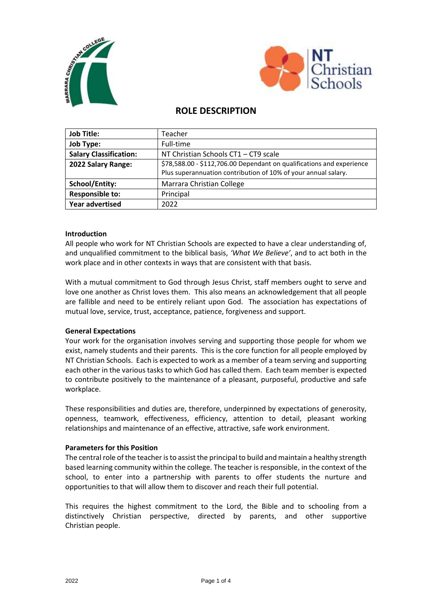



# **ROLE DESCRIPTION**

| <b>Job Title:</b>             | Teacher                                                               |
|-------------------------------|-----------------------------------------------------------------------|
| <b>Job Type:</b>              | Full-time                                                             |
| <b>Salary Classification:</b> | NT Christian Schools CT1 - CT9 scale                                  |
| 2022 Salary Range:            | \$78,588.00 - \$112,706.00 Dependant on qualifications and experience |
|                               | Plus superannuation contribution of 10% of your annual salary.        |
| <b>School/Entity:</b>         | Marrara Christian College                                             |
| <b>Responsible to:</b>        | Principal                                                             |
| <b>Year advertised</b>        | 2022                                                                  |

# **Introduction**

All people who work for NT Christian Schools are expected to have a clear understanding of, and unqualified commitment to the biblical basis, *'What We Believe'*, and to act both in the work place and in other contexts in ways that are consistent with that basis.

With a mutual commitment to God through Jesus Christ, staff members ought to serve and love one another as Christ loves them. This also means an acknowledgement that all people are fallible and need to be entirely reliant upon God. The association has expectations of mutual love, service, trust, acceptance, patience, forgiveness and support.

# **General Expectations**

Your work for the organisation involves serving and supporting those people for whom we exist, namely students and their parents. This is the core function for all people employed by NT Christian Schools. Each is expected to work as a member of a team serving and supporting each other in the various tasks to which God has called them. Each team member is expected to contribute positively to the maintenance of a pleasant, purposeful, productive and safe workplace.

These responsibilities and duties are, therefore, underpinned by expectations of generosity, openness, teamwork, effectiveness, efficiency, attention to detail, pleasant working relationships and maintenance of an effective, attractive, safe work environment.

# **Parameters for this Position**

The central role of the teacher is to assist the principal to build and maintain a healthy strength based learning community within the college. The teacher is responsible, in the context of the school, to enter into a partnership with parents to offer students the nurture and opportunities to that will allow them to discover and reach their full potential.

This requires the highest commitment to the Lord, the Bible and to schooling from a distinctively Christian perspective, directed by parents, and other supportive Christian people.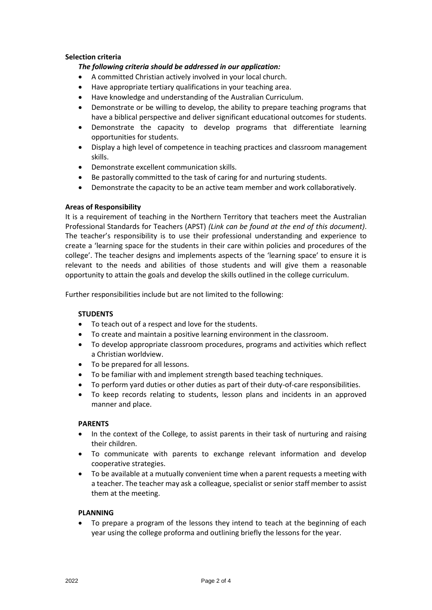# **Selection criteria**

# *The following criteria should be addressed in our application:*

- A committed Christian actively involved in your local church.
- Have appropriate tertiary qualifications in your teaching area.
- Have knowledge and understanding of the Australian Curriculum.
- Demonstrate or be willing to develop, the ability to prepare teaching programs that have a biblical perspective and deliver significant educational outcomes for students.
- Demonstrate the capacity to develop programs that differentiate learning opportunities for students.
- Display a high level of competence in teaching practices and classroom management skills.
- Demonstrate excellent communication skills.
- Be pastorally committed to the task of caring for and nurturing students.
- Demonstrate the capacity to be an active team member and work collaboratively.

### **Areas of Responsibility**

It is a requirement of teaching in the Northern Territory that teachers meet the Australian Professional Standards for Teachers (APST) *(Link can be found at the end of this document)*. The teacher's responsibility is to use their professional understanding and experience to create a 'learning space for the students in their care within policies and procedures of the college'. The teacher designs and implements aspects of the 'learning space' to ensure it is relevant to the needs and abilities of those students and will give them a reasonable opportunity to attain the goals and develop the skills outlined in the college curriculum.

Further responsibilities include but are not limited to the following:

#### **STUDENTS**

- To teach out of a respect and love for the students.
- To create and maintain a positive learning environment in the classroom.
- To develop appropriate classroom procedures, programs and activities which reflect a Christian worldview.
- To be prepared for all lessons.
- To be familiar with and implement strength based teaching techniques.
- To perform yard duties or other duties as part of their duty-of-care responsibilities.
- To keep records relating to students, lesson plans and incidents in an approved manner and place.

#### **PARENTS**

- In the context of the College, to assist parents in their task of nurturing and raising their children.
- To communicate with parents to exchange relevant information and develop cooperative strategies.
- To be available at a mutually convenient time when a parent requests a meeting with a teacher. The teacher may ask a colleague, specialist or senior staff member to assist them at the meeting.

#### **PLANNING**

 To prepare a program of the lessons they intend to teach at the beginning of each year using the college proforma and outlining briefly the lessons for the year.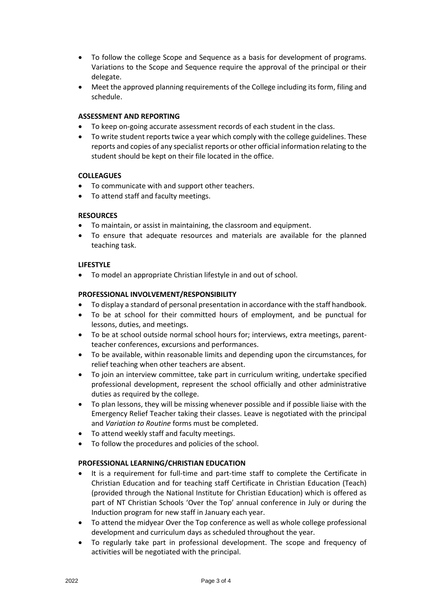- To follow the college Scope and Sequence as a basis for development of programs. Variations to the Scope and Sequence require the approval of the principal or their delegate.
- Meet the approved planning requirements of the College including its form, filing and schedule.

# **ASSESSMENT AND REPORTING**

- To keep on-going accurate assessment records of each student in the class.
- To write student reports twice a year which comply with the college guidelines. These reports and copies of any specialist reports or other official information relating to the student should be kept on their file located in the office.

# **COLLEAGUES**

- To communicate with and support other teachers.
- To attend staff and faculty meetings.

# **RESOURCES**

- To maintain, or assist in maintaining, the classroom and equipment.
- To ensure that adequate resources and materials are available for the planned teaching task.

# **LIFESTYLE**

To model an appropriate Christian lifestyle in and out of school.

# **PROFESSIONAL INVOLVEMENT/RESPONSIBILITY**

- To display a standard of personal presentation in accordance with the staff handbook.
- To be at school for their committed hours of employment, and be punctual for lessons, duties, and meetings.
- To be at school outside normal school hours for; interviews, extra meetings, parentteacher conferences, excursions and performances.
- To be available, within reasonable limits and depending upon the circumstances, for relief teaching when other teachers are absent.
- To join an interview committee, take part in curriculum writing, undertake specified professional development, represent the school officially and other administrative duties as required by the college.
- To plan lessons, they will be missing whenever possible and if possible liaise with the Emergency Relief Teacher taking their classes. Leave is negotiated with the principal and *Variation to Routine* forms must be completed.
- To attend weekly staff and faculty meetings.
- To follow the procedures and policies of the school.

# **PROFESSIONAL LEARNING/CHRISTIAN EDUCATION**

- It is a requirement for full-time and part-time staff to complete the Certificate in Christian Education and for teaching staff Certificate in Christian Education (Teach) (provided through the National Institute for Christian Education) which is offered as part of NT Christian Schools 'Over the Top' annual conference in July or during the Induction program for new staff in January each year.
- To attend the midyear Over the Top conference as well as whole college professional development and curriculum days as scheduled throughout the year.
- To regularly take part in professional development. The scope and frequency of activities will be negotiated with the principal.